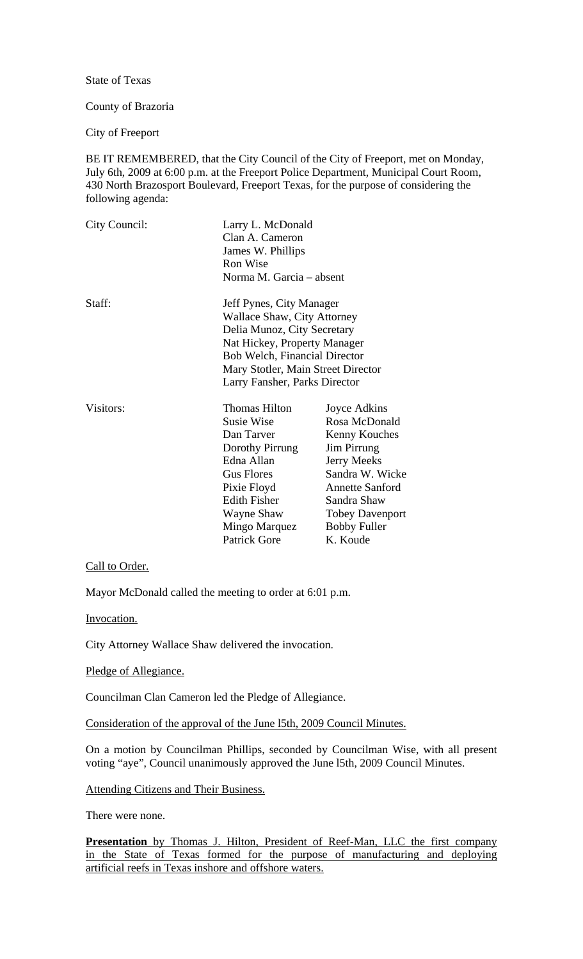State of Texas

#### County of Brazoria

City of Freeport

BE IT REMEMBERED, that the City Council of the City of Freeport, met on Monday, July 6th, 2009 at 6:00 p.m. at the Freeport Police Department, Municipal Court Room, 430 North Brazosport Boulevard, Freeport Texas, for the purpose of considering the following agenda:

| City Council: | Larry L. McDonald<br>Clan A. Cameron<br>James W. Phillips<br>Ron Wise<br>Norma M. Garcia – absent                                                                                                                                     |                                                                                                                                                                                                       |
|---------------|---------------------------------------------------------------------------------------------------------------------------------------------------------------------------------------------------------------------------------------|-------------------------------------------------------------------------------------------------------------------------------------------------------------------------------------------------------|
| Staff:        | Jeff Pynes, City Manager<br>Wallace Shaw, City Attorney<br>Delia Munoz, City Secretary<br>Nat Hickey, Property Manager<br><b>Bob Welch, Financial Director</b><br>Mary Stotler, Main Street Director<br>Larry Fansher, Parks Director |                                                                                                                                                                                                       |
| Visitors:     | <b>Thomas Hilton</b><br><b>Susie Wise</b><br>Dan Tarver<br>Dorothy Pirrung<br>Edna Allan<br><b>Gus Flores</b><br>Pixie Floyd<br><b>Edith Fisher</b><br>Wayne Shaw<br>Mingo Marquez<br><b>Patrick Gore</b>                             | Joyce Adkins<br>Rosa McDonald<br>Kenny Kouches<br>Jim Pirrung<br>Jerry Meeks<br>Sandra W. Wicke<br><b>Annette Sanford</b><br>Sandra Shaw<br><b>Tobey Davenport</b><br><b>Bobby Fuller</b><br>K. Koude |

#### Call to Order.

Mayor McDonald called the meeting to order at 6:01 p.m.

Invocation.

City Attorney Wallace Shaw delivered the invocation.

#### Pledge of Allegiance.

Councilman Clan Cameron led the Pledge of Allegiance.

Consideration of the approval of the June l5th, 2009 Council Minutes.

On a motion by Councilman Phillips, seconded by Councilman Wise, with all present voting "aye", Council unanimously approved the June l5th, 2009 Council Minutes.

#### Attending Citizens and Their Business.

There were none.

**Presentation** by Thomas J. Hilton, President of Reef-Man, LLC the first company in the State of Texas formed for the purpose of manufacturing and deploying artificial reefs in Texas inshore and offshore waters.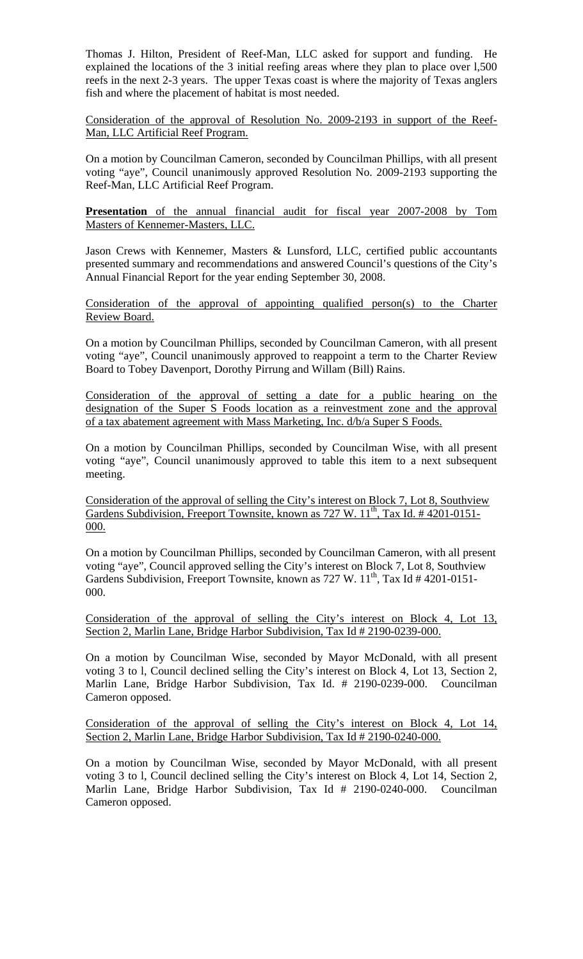Thomas J. Hilton, President of Reef-Man, LLC asked for support and funding. He explained the locations of the 3 initial reefing areas where they plan to place over l,500 reefs in the next 2-3 years. The upper Texas coast is where the majority of Texas anglers fish and where the placement of habitat is most needed.

Consideration of the approval of Resolution No. 2009-2193 in support of the Reef-Man, LLC Artificial Reef Program.

On a motion by Councilman Cameron, seconded by Councilman Phillips, with all present voting "aye", Council unanimously approved Resolution No. 2009-2193 supporting the Reef-Man, LLC Artificial Reef Program.

**Presentation** of the annual financial audit for fiscal year 2007-2008 by Tom Masters of Kennemer-Masters, LLC.

Jason Crews with Kennemer, Masters & Lunsford, LLC, certified public accountants presented summary and recommendations and answered Council's questions of the City's Annual Financial Report for the year ending September 30, 2008.

Consideration of the approval of appointing qualified person(s) to the Charter Review Board.

On a motion by Councilman Phillips, seconded by Councilman Cameron, with all present voting "aye", Council unanimously approved to reappoint a term to the Charter Review Board to Tobey Davenport, Dorothy Pirrung and Willam (Bill) Rains.

Consideration of the approval of setting a date for a public hearing on the designation of the Super S Foods location as a reinvestment zone and the approval of a tax abatement agreement with Mass Marketing, Inc. d/b/a Super S Foods.

On a motion by Councilman Phillips, seconded by Councilman Wise, with all present voting "aye", Council unanimously approved to table this item to a next subsequent meeting.

Consideration of the approval of selling the City's interest on Block 7, Lot 8, Southview Gardens Subdivision, Freeport Townsite, known as  $727 \text{ W}$ .  $11^{\text{th}}$ , Tax Id. # 4201-0151-000.

On a motion by Councilman Phillips, seconded by Councilman Cameron, with all present voting "aye", Council approved selling the City's interest on Block 7, Lot 8, Southview Gardens Subdivision, Freeport Townsite, known as  $727 \text{ W}$ .  $11^{\text{th}}$ , Tax Id # 4201-0151-000.

Consideration of the approval of selling the City's interest on Block 4, Lot 13, Section 2, Marlin Lane, Bridge Harbor Subdivision, Tax Id # 2190-0239-000.

On a motion by Councilman Wise, seconded by Mayor McDonald, with all present voting 3 to l, Council declined selling the City's interest on Block 4, Lot 13, Section 2, Marlin Lane, Bridge Harbor Subdivision, Tax Id. # 2190-0239-000. Councilman Cameron opposed.

Consideration of the approval of selling the City's interest on Block 4, Lot 14, Section 2, Marlin Lane, Bridge Harbor Subdivision, Tax Id # 2190-0240-000.

On a motion by Councilman Wise, seconded by Mayor McDonald, with all present voting 3 to l, Council declined selling the City's interest on Block 4, Lot 14, Section 2, Marlin Lane, Bridge Harbor Subdivision, Tax Id # 2190-0240-000. Councilman Cameron opposed.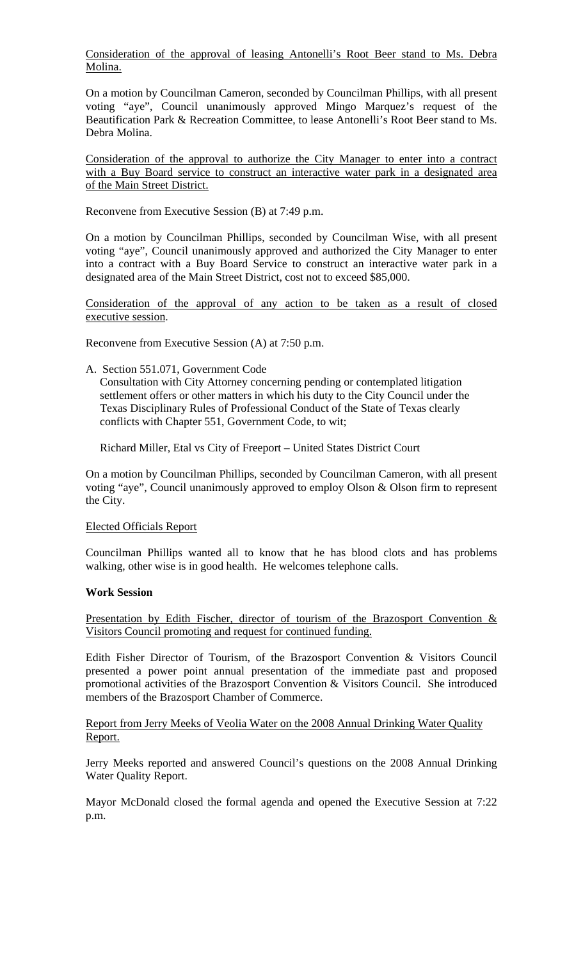Consideration of the approval of leasing Antonelli's Root Beer stand to Ms. Debra Molina.

On a motion by Councilman Cameron, seconded by Councilman Phillips, with all present voting "aye", Council unanimously approved Mingo Marquez's request of the Beautification Park & Recreation Committee, to lease Antonelli's Root Beer stand to Ms. Debra Molina.

Consideration of the approval to authorize the City Manager to enter into a contract with a Buy Board service to construct an interactive water park in a designated area of the Main Street District.

Reconvene from Executive Session (B) at 7:49 p.m.

On a motion by Councilman Phillips, seconded by Councilman Wise, with all present voting "aye", Council unanimously approved and authorized the City Manager to enter into a contract with a Buy Board Service to construct an interactive water park in a designated area of the Main Street District, cost not to exceed \$85,000.

Consideration of the approval of any action to be taken as a result of closed executive session.

Reconvene from Executive Session (A) at 7:50 p.m.

A. Section 551.071, Government Code

 Consultation with City Attorney concerning pending or contemplated litigation settlement offers or other matters in which his duty to the City Council under the Texas Disciplinary Rules of Professional Conduct of the State of Texas clearly conflicts with Chapter 551, Government Code, to wit;

Richard Miller, Etal vs City of Freeport – United States District Court

On a motion by Councilman Phillips, seconded by Councilman Cameron, with all present voting "aye", Council unanimously approved to employ Olson & Olson firm to represent the City.

## Elected Officials Report

Councilman Phillips wanted all to know that he has blood clots and has problems walking, other wise is in good health. He welcomes telephone calls.

## **Work Session**

Presentation by Edith Fischer, director of tourism of the Brazosport Convention & Visitors Council promoting and request for continued funding.

Edith Fisher Director of Tourism, of the Brazosport Convention & Visitors Council presented a power point annual presentation of the immediate past and proposed promotional activities of the Brazosport Convention & Visitors Council. She introduced members of the Brazosport Chamber of Commerce.

Report from Jerry Meeks of Veolia Water on the 2008 Annual Drinking Water Quality Report.

Jerry Meeks reported and answered Council's questions on the 2008 Annual Drinking Water Quality Report.

Mayor McDonald closed the formal agenda and opened the Executive Session at 7:22 p.m.